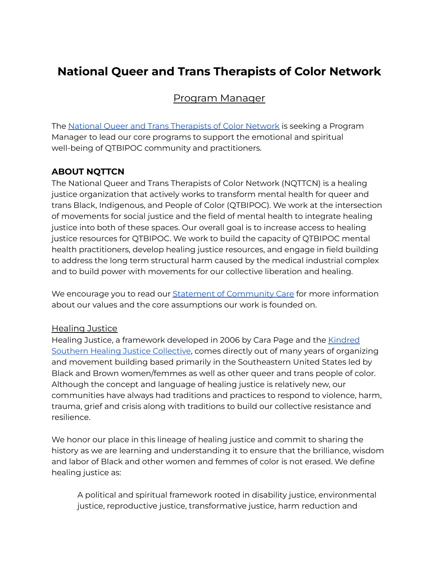# **National Queer and Trans Therapists of Color Network**

# Program Manager

The National Queer and Trans [Therapists](https://www.nqttcn.com/) of Color Network is seeking a Program Manager to lead our core programs to support the emotional and spiritual well-being of QTBIPOC community and practitioners.

## **ABOUT NQTTCN**

The National Queer and Trans Therapists of Color Network (NQTTCN) is a healing justice organization that actively works to transform mental health for queer and trans Black, Indigenous, and People of Color (QTBIPOC). We work at the intersection of movements for social justice and the field of mental health to integrate healing justice into both of these spaces. Our overall goal is to increase access to healing justice resources for QTBIPOC. We work to build the capacity of QTBIPOC mental health practitioners, develop healing justice resources, and engage in field building to address the long term structural harm caused by the medical industrial complex and to build power with movements for our collective liberation and healing.

We encourage you to read our **Statement of [Community](https://www.nqttcn.com/statement-of-community-care) Care for more information** about our values and the core assumptions our work is founded on.

#### Healing Justice

Healing Justice, a framework developed in 2006 by Cara Page and the [Kindred](http://kindredsouthernhjcollective.org/) Southern Healing Justice [Collective](http://kindredsouthernhjcollective.org/), comes directly out of many years of organizing and movement building based primarily in the Southeastern United States led by Black and Brown women/femmes as well as other queer and trans people of color. Although the concept and language of healing justice is relatively new, our communities have always had traditions and practices to respond to violence, harm, trauma, grief and crisis along with traditions to build our collective resistance and resilience.

We honor our place in this lineage of healing justice and commit to sharing the history as we are learning and understanding it to ensure that the brilliance, wisdom and labor of Black and other women and femmes of color is not erased. We define healing justice as:

A political and spiritual framework rooted in disability justice, environmental justice, reproductive justice, transformative justice, harm reduction and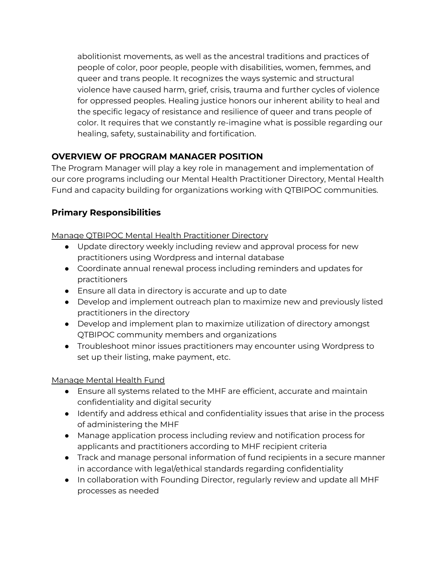abolitionist movements, as well as the ancestral traditions and practices of people of color, poor people, people with disabilities, women, femmes, and queer and trans people. It recognizes the ways systemic and structural violence have caused harm, grief, crisis, trauma and further cycles of violence for oppressed peoples. Healing justice honors our inherent ability to heal and the specific legacy of resistance and resilience of queer and trans people of color. It requires that we constantly re-imagine what is possible regarding our healing, safety, sustainability and fortification.

## **OVERVIEW OF PROGRAM MANAGER POSITION**

The Program Manager will play a key role in management and implementation of our core programs including our Mental Health Practitioner Directory, Mental Health Fund and capacity building for organizations working with QTBIPOC communities.

## **Primary Responsibilities**

Manage QTBIPOC Mental Health Practitioner Directory

- Update directory weekly including review and approval process for new practitioners using Wordpress and internal database
- Coordinate annual renewal process including reminders and updates for practitioners
- Ensure all data in directory is accurate and up to date
- Develop and implement outreach plan to maximize new and previously listed practitioners in the directory
- Develop and implement plan to maximize utilization of directory amongst QTBIPOC community members and organizations
- Troubleshoot minor issues practitioners may encounter using Wordpress to set up their listing, make payment, etc.

#### Manage Mental Health Fund

- Ensure all systems related to the MHF are efficient, accurate and maintain confidentiality and digital security
- Identify and address ethical and confidentiality issues that arise in the process of administering the MHF
- Manage application process including review and notification process for applicants and practitioners according to MHF recipient criteria
- Track and manage personal information of fund recipients in a secure manner in accordance with legal/ethical standards regarding confidentiality
- In collaboration with Founding Director, regularly review and update all MHF processes as needed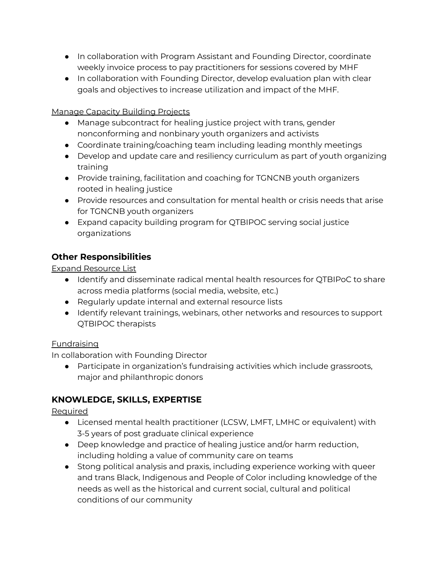- In collaboration with Program Assistant and Founding Director, coordinate weekly invoice process to pay practitioners for sessions covered by MHF
- In collaboration with Founding Director, develop evaluation plan with clear goals and objectives to increase utilization and impact of the MHF.

#### Manage Capacity Building Projects

- Manage subcontract for healing justice project with trans, gender nonconforming and nonbinary youth organizers and activists
- Coordinate training/coaching team including leading monthly meetings
- Develop and update care and resiliency curriculum as part of youth organizing training
- Provide training, facilitation and coaching for TGNCNB youth organizers rooted in healing justice
- Provide resources and consultation for mental health or crisis needs that arise for TGNCNB youth organizers
- Expand capacity building program for QTBIPOC serving social justice organizations

## **Other Responsibilities**

Expand Resource List

- Identify and disseminate radical mental health resources for QTBIPoC to share across media platforms (social media, website, etc.)
- Regularly update internal and external resource lists
- Identify relevant trainings, webinars, other networks and resources to support QTBIPOC therapists

#### Fundraising

In collaboration with Founding Director

● Participate in organization's fundraising activities which include grassroots, major and philanthropic donors

## **KNOWLEDGE, SKILLS, EXPERTISE**

Required

- Licensed mental health practitioner (LCSW, LMFT, LMHC or equivalent) with 3-5 years of post graduate clinical experience
- Deep knowledge and practice of healing justice and/or harm reduction, including holding a value of community care on teams
- Stong political analysis and praxis, including experience working with queer and trans Black, Indigenous and People of Color including knowledge of the needs as well as the historical and current social, cultural and political conditions of our community